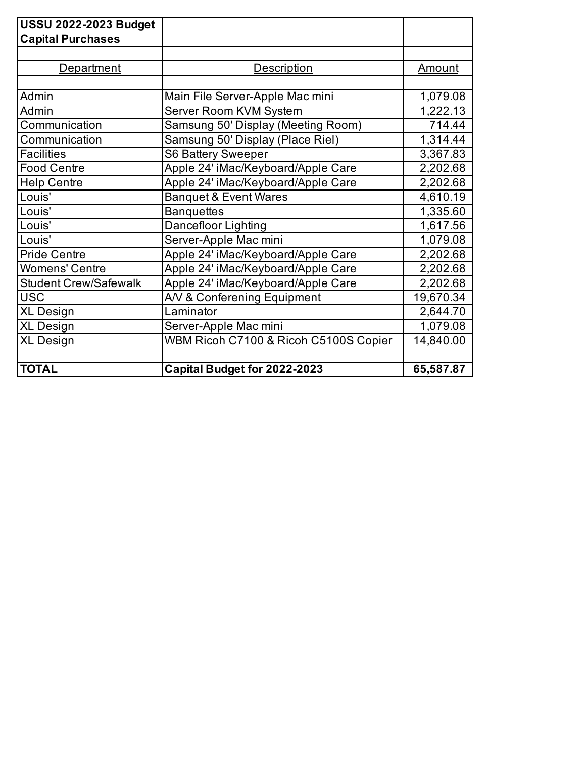| <b>USSU 2022-2023 Budget</b> |                                       |               |
|------------------------------|---------------------------------------|---------------|
| <b>Capital Purchases</b>     |                                       |               |
|                              |                                       |               |
| <b>Department</b>            | <b>Description</b>                    | <u>Amount</u> |
|                              |                                       |               |
| Admin                        | Main File Server-Apple Mac mini       | 1,079.08      |
| Admin                        | Server Room KVM System                | 1,222.13      |
| Communication                | Samsung 50' Display (Meeting Room)    | 714.44        |
| Communication                | Samsung 50' Display (Place Riel)      | 1,314.44      |
| <b>Facilities</b>            | <b>S6 Battery Sweeper</b>             | 3,367.83      |
| <b>Food Centre</b>           | Apple 24' iMac/Keyboard/Apple Care    | 2,202.68      |
| <b>Help Centre</b>           | Apple 24' iMac/Keyboard/Apple Care    | 2,202.68      |
| Louis'                       | <b>Banquet &amp; Event Wares</b>      | 4,610.19      |
| Louis'                       | <b>Banquettes</b>                     | 1,335.60      |
| Louis'                       | Dancefloor Lighting                   | 1,617.56      |
| Louis'                       | Server-Apple Mac mini                 | 1,079.08      |
| <b>Pride Centre</b>          | Apple 24' iMac/Keyboard/Apple Care    | 2,202.68      |
| <b>Womens' Centre</b>        | Apple 24' iMac/Keyboard/Apple Care    | 2,202.68      |
| <b>Student Crew/Safewalk</b> | Apple 24' iMac/Keyboard/Apple Care    | 2,202.68      |
| <b>USC</b>                   | A/V & Conferening Equipment           | 19,670.34     |
| <b>XL Design</b>             | Laminator                             | 2,644.70      |
| <b>XL Design</b>             | Server-Apple Mac mini                 | 1,079.08      |
| <b>XL Design</b>             | WBM Ricoh C7100 & Ricoh C5100S Copier | 14,840.00     |
|                              |                                       |               |
| <b>TOTAL</b>                 | Capital Budget for 2022-2023          | 65,587.87     |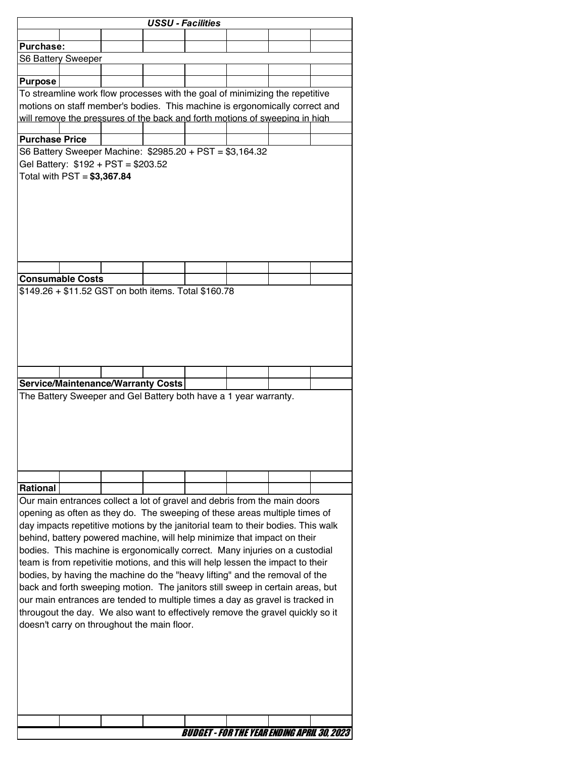|                       |                             |                                                                                                                                                            | <b>USSU - Facilities</b> |  |                                                                           |  |
|-----------------------|-----------------------------|------------------------------------------------------------------------------------------------------------------------------------------------------------|--------------------------|--|---------------------------------------------------------------------------|--|
|                       |                             |                                                                                                                                                            |                          |  |                                                                           |  |
| <b>Purchase:</b>      |                             |                                                                                                                                                            |                          |  |                                                                           |  |
|                       | S6 Battery Sweeper          |                                                                                                                                                            |                          |  |                                                                           |  |
|                       |                             |                                                                                                                                                            |                          |  |                                                                           |  |
| <b>Purpose</b>        |                             |                                                                                                                                                            |                          |  |                                                                           |  |
|                       |                             | To streamline work flow processes with the goal of minimizing the repetitive                                                                               |                          |  |                                                                           |  |
|                       |                             | motions on staff member's bodies. This machine is ergonomically correct and<br>will remove the pressures of the back and forth motions of sweeping in high |                          |  |                                                                           |  |
|                       |                             |                                                                                                                                                            |                          |  |                                                                           |  |
| <b>Purchase Price</b> |                             |                                                                                                                                                            |                          |  |                                                                           |  |
|                       |                             | S6 Battery Sweeper Machine: \$2985.20 + PST = \$3,164.32                                                                                                   |                          |  |                                                                           |  |
|                       |                             | Gel Battery: \$192 + PST = \$203.52                                                                                                                        |                          |  |                                                                           |  |
|                       | Total with PST = \$3,367.84 |                                                                                                                                                            |                          |  |                                                                           |  |
|                       |                             |                                                                                                                                                            |                          |  |                                                                           |  |
|                       |                             |                                                                                                                                                            |                          |  |                                                                           |  |
|                       |                             |                                                                                                                                                            |                          |  |                                                                           |  |
|                       |                             |                                                                                                                                                            |                          |  |                                                                           |  |
|                       |                             |                                                                                                                                                            |                          |  |                                                                           |  |
|                       |                             |                                                                                                                                                            |                          |  |                                                                           |  |
|                       |                             |                                                                                                                                                            |                          |  |                                                                           |  |
|                       | <b>Consumable Costs</b>     |                                                                                                                                                            |                          |  |                                                                           |  |
|                       |                             | \$149.26 + \$11.52 GST on both items. Total \$160.78                                                                                                       |                          |  |                                                                           |  |
|                       |                             |                                                                                                                                                            |                          |  |                                                                           |  |
|                       |                             |                                                                                                                                                            |                          |  |                                                                           |  |
|                       |                             |                                                                                                                                                            |                          |  |                                                                           |  |
|                       |                             |                                                                                                                                                            |                          |  |                                                                           |  |
|                       |                             |                                                                                                                                                            |                          |  |                                                                           |  |
|                       |                             |                                                                                                                                                            |                          |  |                                                                           |  |
|                       |                             |                                                                                                                                                            |                          |  |                                                                           |  |
|                       |                             | <b>Service/Maintenance/Warranty Costs</b>                                                                                                                  |                          |  |                                                                           |  |
|                       |                             | The Battery Sweeper and Gel Battery both have a 1 year warranty.                                                                                           |                          |  |                                                                           |  |
|                       |                             |                                                                                                                                                            |                          |  |                                                                           |  |
|                       |                             |                                                                                                                                                            |                          |  |                                                                           |  |
|                       |                             |                                                                                                                                                            |                          |  |                                                                           |  |
|                       |                             |                                                                                                                                                            |                          |  |                                                                           |  |
|                       |                             |                                                                                                                                                            |                          |  |                                                                           |  |
|                       |                             |                                                                                                                                                            |                          |  |                                                                           |  |
|                       |                             |                                                                                                                                                            |                          |  |                                                                           |  |
| <b>Rational</b>       |                             |                                                                                                                                                            |                          |  |                                                                           |  |
|                       |                             |                                                                                                                                                            |                          |  |                                                                           |  |
|                       |                             |                                                                                                                                                            |                          |  | Our main entrances collect a lot of gravel and debris from the main doors |  |
|                       |                             | opening as often as they do. The sweeping of these areas multiple times of                                                                                 |                          |  |                                                                           |  |
|                       |                             | day impacts repetitive motions by the janitorial team to their bodies. This walk                                                                           |                          |  |                                                                           |  |
|                       |                             | behind, battery powered machine, will help minimize that impact on their                                                                                   |                          |  |                                                                           |  |
|                       |                             | bodies. This machine is ergonomically correct. Many injuries on a custodial                                                                                |                          |  |                                                                           |  |
|                       |                             | team is from repetivitie motions, and this will help lessen the impact to their                                                                            |                          |  |                                                                           |  |
|                       |                             | bodies, by having the machine do the "heavy lifting" and the removal of the                                                                                |                          |  |                                                                           |  |
|                       |                             | back and forth sweeping motion. The janitors still sweep in certain areas, but                                                                             |                          |  |                                                                           |  |
|                       |                             | our main entrances are tended to multiple times a day as gravel is tracked in                                                                              |                          |  |                                                                           |  |
|                       |                             | througout the day. We also want to effectively remove the gravel quickly so it                                                                             |                          |  |                                                                           |  |
|                       |                             | doesn't carry on throughout the main floor.                                                                                                                |                          |  |                                                                           |  |
|                       |                             |                                                                                                                                                            |                          |  |                                                                           |  |
|                       |                             |                                                                                                                                                            |                          |  |                                                                           |  |
|                       |                             |                                                                                                                                                            |                          |  |                                                                           |  |
|                       |                             |                                                                                                                                                            |                          |  |                                                                           |  |
|                       |                             |                                                                                                                                                            |                          |  |                                                                           |  |
|                       |                             |                                                                                                                                                            |                          |  |                                                                           |  |
|                       |                             |                                                                                                                                                            |                          |  |                                                                           |  |
|                       |                             |                                                                                                                                                            |                          |  |                                                                           |  |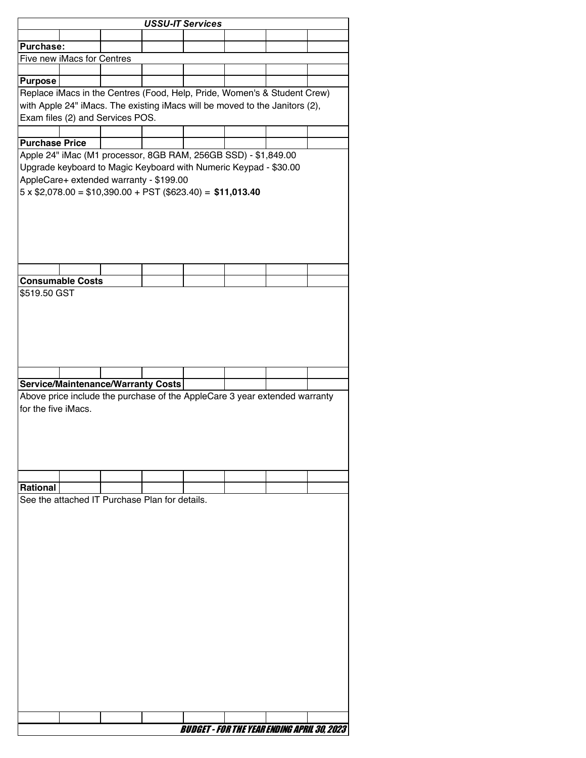|                       |                            |                                                | <b>USSU-IT Services</b>                                                     |  |  |
|-----------------------|----------------------------|------------------------------------------------|-----------------------------------------------------------------------------|--|--|
|                       |                            |                                                |                                                                             |  |  |
| <b>Purchase:</b>      |                            |                                                |                                                                             |  |  |
|                       | Five new iMacs for Centres |                                                |                                                                             |  |  |
|                       |                            |                                                |                                                                             |  |  |
| <b>Purpose</b>        |                            |                                                | Replace iMacs in the Centres (Food, Help, Pride, Women's & Student Crew)    |  |  |
|                       |                            |                                                | with Apple 24" iMacs. The existing iMacs will be moved to the Janitors (2), |  |  |
|                       |                            | Exam files (2) and Services POS.               |                                                                             |  |  |
|                       |                            |                                                |                                                                             |  |  |
| <b>Purchase Price</b> |                            |                                                |                                                                             |  |  |
|                       |                            |                                                | Apple 24" iMac (M1 processor, 8GB RAM, 256GB SSD) - \$1,849.00              |  |  |
|                       |                            |                                                | Upgrade keyboard to Magic Keyboard with Numeric Keypad - \$30.00            |  |  |
|                       |                            | AppleCare+ extended warranty - \$199.00        |                                                                             |  |  |
|                       |                            |                                                | $5 \times$ \$2,078.00 = \$10,390.00 + PST (\$623.40) = \$11,013.40          |  |  |
|                       |                            |                                                |                                                                             |  |  |
|                       |                            |                                                |                                                                             |  |  |
|                       |                            |                                                |                                                                             |  |  |
|                       |                            |                                                |                                                                             |  |  |
|                       |                            |                                                |                                                                             |  |  |
|                       |                            |                                                |                                                                             |  |  |
|                       | <b>Consumable Costs</b>    |                                                |                                                                             |  |  |
| \$519.50 GST          |                            |                                                |                                                                             |  |  |
|                       |                            |                                                |                                                                             |  |  |
|                       |                            |                                                |                                                                             |  |  |
|                       |                            |                                                |                                                                             |  |  |
|                       |                            |                                                |                                                                             |  |  |
|                       |                            |                                                |                                                                             |  |  |
|                       |                            |                                                |                                                                             |  |  |
|                       |                            |                                                |                                                                             |  |  |
|                       |                            |                                                |                                                                             |  |  |
|                       |                            | <b>Service/Maintenance/Warranty Costs</b>      |                                                                             |  |  |
|                       |                            |                                                | Above price include the purchase of the AppleCare 3 year extended warranty  |  |  |
| for the five iMacs.   |                            |                                                |                                                                             |  |  |
|                       |                            |                                                |                                                                             |  |  |
|                       |                            |                                                |                                                                             |  |  |
|                       |                            |                                                |                                                                             |  |  |
|                       |                            |                                                |                                                                             |  |  |
|                       |                            |                                                |                                                                             |  |  |
| <b>Rational</b>       |                            |                                                |                                                                             |  |  |
|                       |                            | See the attached IT Purchase Plan for details. |                                                                             |  |  |
|                       |                            |                                                |                                                                             |  |  |
|                       |                            |                                                |                                                                             |  |  |
|                       |                            |                                                |                                                                             |  |  |
|                       |                            |                                                |                                                                             |  |  |
|                       |                            |                                                |                                                                             |  |  |
|                       |                            |                                                |                                                                             |  |  |
|                       |                            |                                                |                                                                             |  |  |
|                       |                            |                                                |                                                                             |  |  |
|                       |                            |                                                |                                                                             |  |  |
|                       |                            |                                                |                                                                             |  |  |
|                       |                            |                                                |                                                                             |  |  |
|                       |                            |                                                |                                                                             |  |  |
|                       |                            |                                                |                                                                             |  |  |
|                       |                            |                                                |                                                                             |  |  |
|                       |                            |                                                |                                                                             |  |  |
|                       |                            |                                                |                                                                             |  |  |
|                       |                            |                                                |                                                                             |  |  |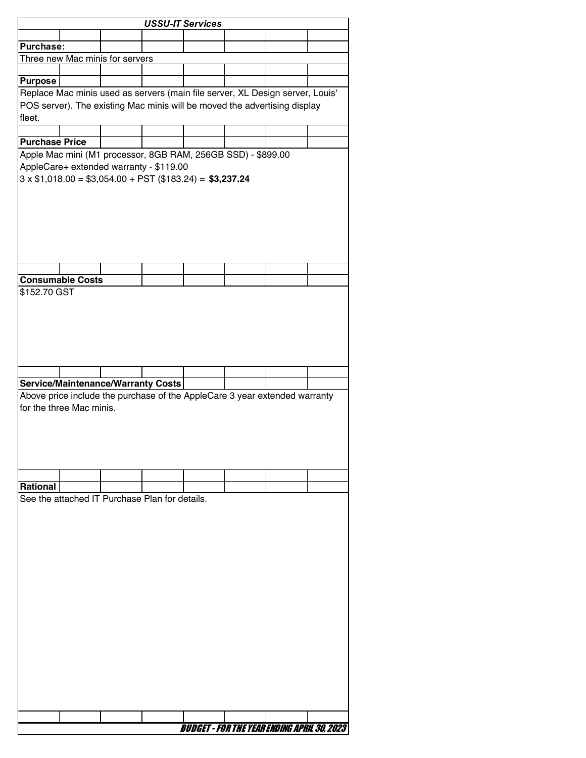|                                                                               |  | <b>USSU-IT Services</b> |                                                    |  |  |
|-------------------------------------------------------------------------------|--|-------------------------|----------------------------------------------------|--|--|
|                                                                               |  |                         |                                                    |  |  |
| Purchase:                                                                     |  |                         |                                                    |  |  |
| Three new Mac minis for servers                                               |  |                         |                                                    |  |  |
|                                                                               |  |                         |                                                    |  |  |
| <b>Purpose</b>                                                                |  |                         |                                                    |  |  |
| Replace Mac minis used as servers (main file server, XL Design server, Louis' |  |                         |                                                    |  |  |
| POS server). The existing Mac minis will be moved the advertising display     |  |                         |                                                    |  |  |
| fleet.                                                                        |  |                         |                                                    |  |  |
|                                                                               |  |                         |                                                    |  |  |
| <b>Purchase Price</b>                                                         |  |                         |                                                    |  |  |
| Apple Mac mini (M1 processor, 8GB RAM, 256GB SSD) - \$899.00                  |  |                         |                                                    |  |  |
| AppleCare+ extended warranty - \$119.00                                       |  |                         |                                                    |  |  |
| $3 \times $1,018.00 = $3,054.00 + PST ($183.24) = $3,237.24$                  |  |                         |                                                    |  |  |
|                                                                               |  |                         |                                                    |  |  |
|                                                                               |  |                         |                                                    |  |  |
|                                                                               |  |                         |                                                    |  |  |
|                                                                               |  |                         |                                                    |  |  |
|                                                                               |  |                         |                                                    |  |  |
|                                                                               |  |                         |                                                    |  |  |
|                                                                               |  |                         |                                                    |  |  |
| <b>Consumable Costs</b>                                                       |  |                         |                                                    |  |  |
| \$152.70 GST                                                                  |  |                         |                                                    |  |  |
|                                                                               |  |                         |                                                    |  |  |
|                                                                               |  |                         |                                                    |  |  |
|                                                                               |  |                         |                                                    |  |  |
|                                                                               |  |                         |                                                    |  |  |
|                                                                               |  |                         |                                                    |  |  |
|                                                                               |  |                         |                                                    |  |  |
|                                                                               |  |                         |                                                    |  |  |
| <b>Service/Maintenance/Warranty Costs</b>                                     |  |                         |                                                    |  |  |
|                                                                               |  |                         |                                                    |  |  |
|                                                                               |  |                         |                                                    |  |  |
| Above price include the purchase of the AppleCare 3 year extended warranty    |  |                         |                                                    |  |  |
| for the three Mac minis.                                                      |  |                         |                                                    |  |  |
|                                                                               |  |                         |                                                    |  |  |
|                                                                               |  |                         |                                                    |  |  |
|                                                                               |  |                         |                                                    |  |  |
|                                                                               |  |                         |                                                    |  |  |
|                                                                               |  |                         |                                                    |  |  |
| <b>Rational</b>                                                               |  |                         |                                                    |  |  |
| See the attached IT Purchase Plan for details.                                |  |                         |                                                    |  |  |
|                                                                               |  |                         |                                                    |  |  |
|                                                                               |  |                         |                                                    |  |  |
|                                                                               |  |                         |                                                    |  |  |
|                                                                               |  |                         |                                                    |  |  |
|                                                                               |  |                         |                                                    |  |  |
|                                                                               |  |                         |                                                    |  |  |
|                                                                               |  |                         |                                                    |  |  |
|                                                                               |  |                         |                                                    |  |  |
|                                                                               |  |                         |                                                    |  |  |
|                                                                               |  |                         |                                                    |  |  |
|                                                                               |  |                         |                                                    |  |  |
|                                                                               |  |                         |                                                    |  |  |
|                                                                               |  |                         |                                                    |  |  |
|                                                                               |  |                         |                                                    |  |  |
|                                                                               |  |                         |                                                    |  |  |
|                                                                               |  |                         |                                                    |  |  |
|                                                                               |  |                         |                                                    |  |  |
|                                                                               |  |                         |                                                    |  |  |
|                                                                               |  |                         | <b>BUDGET - FOR THE YEAR ENDING APRIL 30, 2023</b> |  |  |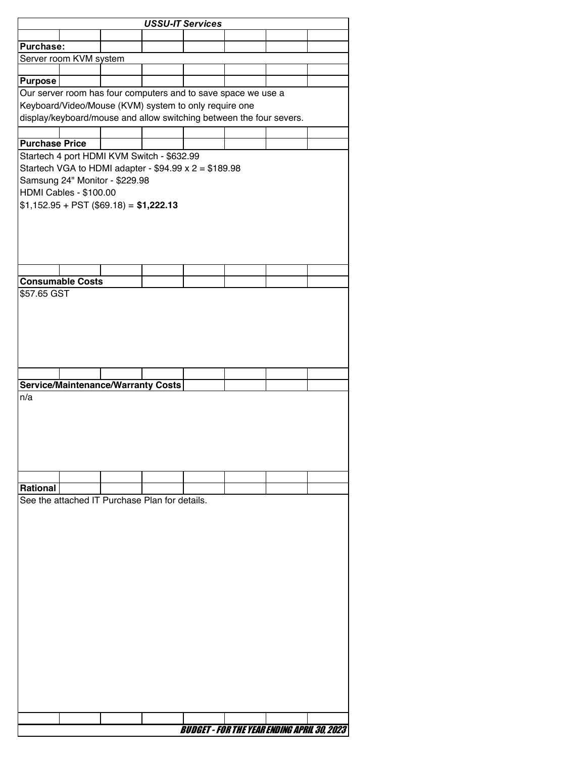|                                                                     |                         |                                                |  | <b>USSU-IT Services</b>                                       |  |  |  |  |  |  |
|---------------------------------------------------------------------|-------------------------|------------------------------------------------|--|---------------------------------------------------------------|--|--|--|--|--|--|
|                                                                     |                         |                                                |  |                                                               |  |  |  |  |  |  |
| Purchase:                                                           |                         |                                                |  |                                                               |  |  |  |  |  |  |
|                                                                     | Server room KVM system  |                                                |  |                                                               |  |  |  |  |  |  |
|                                                                     |                         |                                                |  |                                                               |  |  |  |  |  |  |
| <b>Purpose</b>                                                      |                         |                                                |  |                                                               |  |  |  |  |  |  |
|                                                                     |                         |                                                |  | Our server room has four computers and to save space we use a |  |  |  |  |  |  |
|                                                                     |                         |                                                |  | Keyboard/Video/Mouse (KVM) system to only require one         |  |  |  |  |  |  |
| display/keyboard/mouse and allow switching between the four severs. |                         |                                                |  |                                                               |  |  |  |  |  |  |
|                                                                     |                         |                                                |  |                                                               |  |  |  |  |  |  |
| <b>Purchase Price</b>                                               |                         |                                                |  |                                                               |  |  |  |  |  |  |
|                                                                     |                         | Startech 4 port HDMI KVM Switch - \$632.99     |  |                                                               |  |  |  |  |  |  |
|                                                                     |                         |                                                |  | Startech VGA to HDMI adapter - $$94.99 \times 2 = $189.98$    |  |  |  |  |  |  |
|                                                                     |                         | Samsung 24" Monitor - \$229.98                 |  |                                                               |  |  |  |  |  |  |
| HDMI Cables - \$100.00                                              |                         |                                                |  |                                                               |  |  |  |  |  |  |
|                                                                     |                         | $$1,152.95 + PST ($69.18) = $1,222.13$         |  |                                                               |  |  |  |  |  |  |
|                                                                     |                         |                                                |  |                                                               |  |  |  |  |  |  |
|                                                                     |                         |                                                |  |                                                               |  |  |  |  |  |  |
|                                                                     |                         |                                                |  |                                                               |  |  |  |  |  |  |
|                                                                     |                         |                                                |  |                                                               |  |  |  |  |  |  |
|                                                                     |                         |                                                |  |                                                               |  |  |  |  |  |  |
|                                                                     | <b>Consumable Costs</b> |                                                |  |                                                               |  |  |  |  |  |  |
| \$57.65 GST                                                         |                         |                                                |  |                                                               |  |  |  |  |  |  |
|                                                                     |                         |                                                |  |                                                               |  |  |  |  |  |  |
|                                                                     |                         |                                                |  |                                                               |  |  |  |  |  |  |
|                                                                     |                         |                                                |  |                                                               |  |  |  |  |  |  |
|                                                                     |                         |                                                |  |                                                               |  |  |  |  |  |  |
|                                                                     |                         |                                                |  |                                                               |  |  |  |  |  |  |
|                                                                     |                         |                                                |  |                                                               |  |  |  |  |  |  |
|                                                                     |                         |                                                |  |                                                               |  |  |  |  |  |  |
|                                                                     |                         | <b>Service/Maintenance/Warranty Costs</b>      |  |                                                               |  |  |  |  |  |  |
| n/a                                                                 |                         |                                                |  |                                                               |  |  |  |  |  |  |
|                                                                     |                         |                                                |  |                                                               |  |  |  |  |  |  |
|                                                                     |                         |                                                |  |                                                               |  |  |  |  |  |  |
|                                                                     |                         |                                                |  |                                                               |  |  |  |  |  |  |
|                                                                     |                         |                                                |  |                                                               |  |  |  |  |  |  |
|                                                                     |                         |                                                |  |                                                               |  |  |  |  |  |  |
|                                                                     |                         |                                                |  |                                                               |  |  |  |  |  |  |
|                                                                     |                         |                                                |  |                                                               |  |  |  |  |  |  |
| Rational                                                            |                         |                                                |  |                                                               |  |  |  |  |  |  |
|                                                                     |                         | See the attached IT Purchase Plan for details. |  |                                                               |  |  |  |  |  |  |
|                                                                     |                         |                                                |  |                                                               |  |  |  |  |  |  |
|                                                                     |                         |                                                |  |                                                               |  |  |  |  |  |  |
|                                                                     |                         |                                                |  |                                                               |  |  |  |  |  |  |
|                                                                     |                         |                                                |  |                                                               |  |  |  |  |  |  |
|                                                                     |                         |                                                |  |                                                               |  |  |  |  |  |  |
|                                                                     |                         |                                                |  |                                                               |  |  |  |  |  |  |
|                                                                     |                         |                                                |  |                                                               |  |  |  |  |  |  |
|                                                                     |                         |                                                |  |                                                               |  |  |  |  |  |  |
|                                                                     |                         |                                                |  |                                                               |  |  |  |  |  |  |
|                                                                     |                         |                                                |  |                                                               |  |  |  |  |  |  |
|                                                                     |                         |                                                |  |                                                               |  |  |  |  |  |  |
|                                                                     |                         |                                                |  |                                                               |  |  |  |  |  |  |
|                                                                     |                         |                                                |  |                                                               |  |  |  |  |  |  |
|                                                                     |                         |                                                |  |                                                               |  |  |  |  |  |  |
|                                                                     |                         |                                                |  |                                                               |  |  |  |  |  |  |
|                                                                     |                         |                                                |  |                                                               |  |  |  |  |  |  |
|                                                                     |                         |                                                |  |                                                               |  |  |  |  |  |  |
|                                                                     |                         |                                                |  |                                                               |  |  |  |  |  |  |
|                                                                     |                         |                                                |  | <b>BUDGET - FOR THE YEAR ENDING APRIL 30, 2023</b>            |  |  |  |  |  |  |
|                                                                     |                         |                                                |  |                                                               |  |  |  |  |  |  |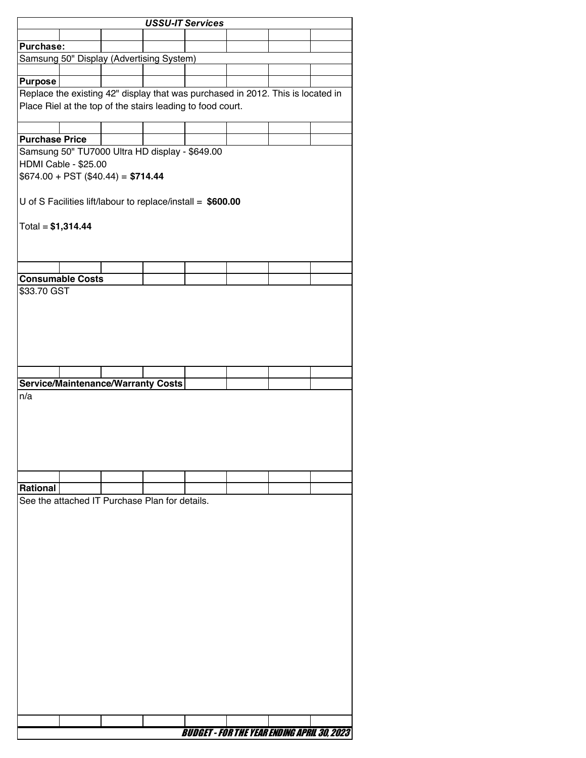|                                                                                 | <b>USSU-IT Services</b> |                                                |  |                                                              |  |  |  |  |  |
|---------------------------------------------------------------------------------|-------------------------|------------------------------------------------|--|--------------------------------------------------------------|--|--|--|--|--|
|                                                                                 |                         |                                                |  |                                                              |  |  |  |  |  |
| Purchase:                                                                       |                         |                                                |  |                                                              |  |  |  |  |  |
|                                                                                 |                         | Samsung 50" Display (Advertising System)       |  |                                                              |  |  |  |  |  |
|                                                                                 |                         |                                                |  |                                                              |  |  |  |  |  |
| <b>Purpose</b>                                                                  |                         |                                                |  |                                                              |  |  |  |  |  |
| Replace the existing 42" display that was purchased in 2012. This is located in |                         |                                                |  |                                                              |  |  |  |  |  |
|                                                                                 |                         |                                                |  | Place Riel at the top of the stairs leading to food court.   |  |  |  |  |  |
|                                                                                 |                         |                                                |  |                                                              |  |  |  |  |  |
| <b>Purchase Price</b>                                                           |                         |                                                |  |                                                              |  |  |  |  |  |
|                                                                                 |                         | Samsung 50" TU7000 Ultra HD display - \$649.00 |  |                                                              |  |  |  |  |  |
| HDMI Cable - \$25.00                                                            |                         |                                                |  |                                                              |  |  |  |  |  |
| $$674.00 + PST ($40.44) = $714.44$                                              |                         |                                                |  |                                                              |  |  |  |  |  |
|                                                                                 |                         |                                                |  |                                                              |  |  |  |  |  |
|                                                                                 |                         |                                                |  | U of S Facilities lift/labour to replace/install = $$600.00$ |  |  |  |  |  |
|                                                                                 |                         |                                                |  |                                                              |  |  |  |  |  |
| $Total = $1,314.44$                                                             |                         |                                                |  |                                                              |  |  |  |  |  |
|                                                                                 |                         |                                                |  |                                                              |  |  |  |  |  |
|                                                                                 |                         |                                                |  |                                                              |  |  |  |  |  |
|                                                                                 |                         |                                                |  |                                                              |  |  |  |  |  |
| <b>Consumable Costs</b>                                                         |                         |                                                |  |                                                              |  |  |  |  |  |
| \$33.70 GST                                                                     |                         |                                                |  |                                                              |  |  |  |  |  |
|                                                                                 |                         |                                                |  |                                                              |  |  |  |  |  |
|                                                                                 |                         |                                                |  |                                                              |  |  |  |  |  |
|                                                                                 |                         |                                                |  |                                                              |  |  |  |  |  |
|                                                                                 |                         |                                                |  |                                                              |  |  |  |  |  |
|                                                                                 |                         |                                                |  |                                                              |  |  |  |  |  |
|                                                                                 |                         |                                                |  |                                                              |  |  |  |  |  |
|                                                                                 |                         |                                                |  |                                                              |  |  |  |  |  |
| <b>Service/Maintenance/Warranty Costs</b><br>n/a                                |                         |                                                |  |                                                              |  |  |  |  |  |
|                                                                                 |                         |                                                |  |                                                              |  |  |  |  |  |
|                                                                                 |                         |                                                |  |                                                              |  |  |  |  |  |
|                                                                                 |                         |                                                |  |                                                              |  |  |  |  |  |
|                                                                                 |                         |                                                |  |                                                              |  |  |  |  |  |
|                                                                                 |                         |                                                |  |                                                              |  |  |  |  |  |
|                                                                                 |                         |                                                |  |                                                              |  |  |  |  |  |
|                                                                                 |                         |                                                |  |                                                              |  |  |  |  |  |
| <b>Rational</b>                                                                 |                         |                                                |  |                                                              |  |  |  |  |  |
|                                                                                 |                         | See the attached IT Purchase Plan for details. |  |                                                              |  |  |  |  |  |
|                                                                                 |                         |                                                |  |                                                              |  |  |  |  |  |
|                                                                                 |                         |                                                |  |                                                              |  |  |  |  |  |
|                                                                                 |                         |                                                |  |                                                              |  |  |  |  |  |
|                                                                                 |                         |                                                |  |                                                              |  |  |  |  |  |
|                                                                                 |                         |                                                |  |                                                              |  |  |  |  |  |
|                                                                                 |                         |                                                |  |                                                              |  |  |  |  |  |
|                                                                                 |                         |                                                |  |                                                              |  |  |  |  |  |
|                                                                                 |                         |                                                |  |                                                              |  |  |  |  |  |
|                                                                                 |                         |                                                |  |                                                              |  |  |  |  |  |
|                                                                                 |                         |                                                |  |                                                              |  |  |  |  |  |
|                                                                                 |                         |                                                |  |                                                              |  |  |  |  |  |
|                                                                                 |                         |                                                |  |                                                              |  |  |  |  |  |
|                                                                                 |                         |                                                |  |                                                              |  |  |  |  |  |
|                                                                                 |                         |                                                |  |                                                              |  |  |  |  |  |
|                                                                                 |                         |                                                |  |                                                              |  |  |  |  |  |
|                                                                                 |                         |                                                |  |                                                              |  |  |  |  |  |
|                                                                                 |                         |                                                |  |                                                              |  |  |  |  |  |
|                                                                                 |                         |                                                |  |                                                              |  |  |  |  |  |
|                                                                                 |                         |                                                |  | <b>BUDGET - FOR THE YEAR ENDING APRIL 30, 2023</b>           |  |  |  |  |  |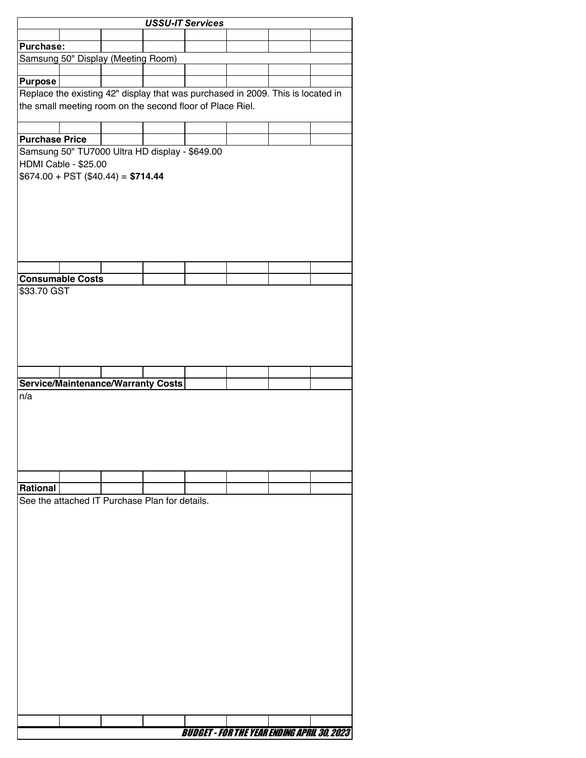|                       | <b>USSU-IT Services</b>                                                         |  |  |                                                    |  |  |  |  |  |  |
|-----------------------|---------------------------------------------------------------------------------|--|--|----------------------------------------------------|--|--|--|--|--|--|
|                       |                                                                                 |  |  |                                                    |  |  |  |  |  |  |
| Purchase:             |                                                                                 |  |  |                                                    |  |  |  |  |  |  |
|                       | Samsung 50" Display (Meeting Room)                                              |  |  |                                                    |  |  |  |  |  |  |
| <b>Purpose</b>        |                                                                                 |  |  |                                                    |  |  |  |  |  |  |
|                       | Replace the existing 42" display that was purchased in 2009. This is located in |  |  |                                                    |  |  |  |  |  |  |
|                       | the small meeting room on the second floor of Place Riel.                       |  |  |                                                    |  |  |  |  |  |  |
|                       |                                                                                 |  |  |                                                    |  |  |  |  |  |  |
| <b>Purchase Price</b> |                                                                                 |  |  |                                                    |  |  |  |  |  |  |
|                       | Samsung 50" TU7000 Ultra HD display - \$649.00                                  |  |  |                                                    |  |  |  |  |  |  |
|                       | HDMI Cable - \$25.00                                                            |  |  |                                                    |  |  |  |  |  |  |
|                       | $$674.00 + PST ($40.44) = $714.44$                                              |  |  |                                                    |  |  |  |  |  |  |
|                       |                                                                                 |  |  |                                                    |  |  |  |  |  |  |
|                       |                                                                                 |  |  |                                                    |  |  |  |  |  |  |
|                       |                                                                                 |  |  |                                                    |  |  |  |  |  |  |
|                       |                                                                                 |  |  |                                                    |  |  |  |  |  |  |
|                       |                                                                                 |  |  |                                                    |  |  |  |  |  |  |
|                       |                                                                                 |  |  |                                                    |  |  |  |  |  |  |
|                       |                                                                                 |  |  |                                                    |  |  |  |  |  |  |
|                       | <b>Consumable Costs</b>                                                         |  |  |                                                    |  |  |  |  |  |  |
| \$33.70 GST           |                                                                                 |  |  |                                                    |  |  |  |  |  |  |
|                       |                                                                                 |  |  |                                                    |  |  |  |  |  |  |
|                       |                                                                                 |  |  |                                                    |  |  |  |  |  |  |
|                       |                                                                                 |  |  |                                                    |  |  |  |  |  |  |
|                       |                                                                                 |  |  |                                                    |  |  |  |  |  |  |
|                       |                                                                                 |  |  |                                                    |  |  |  |  |  |  |
|                       |                                                                                 |  |  |                                                    |  |  |  |  |  |  |
|                       | <b>Service/Maintenance/Warranty Costs</b>                                       |  |  |                                                    |  |  |  |  |  |  |
| n/a                   |                                                                                 |  |  |                                                    |  |  |  |  |  |  |
|                       |                                                                                 |  |  |                                                    |  |  |  |  |  |  |
|                       |                                                                                 |  |  |                                                    |  |  |  |  |  |  |
|                       |                                                                                 |  |  |                                                    |  |  |  |  |  |  |
|                       |                                                                                 |  |  |                                                    |  |  |  |  |  |  |
|                       |                                                                                 |  |  |                                                    |  |  |  |  |  |  |
|                       |                                                                                 |  |  |                                                    |  |  |  |  |  |  |
| <b>Rational</b>       |                                                                                 |  |  |                                                    |  |  |  |  |  |  |
|                       | See the attached IT Purchase Plan for details.                                  |  |  |                                                    |  |  |  |  |  |  |
|                       |                                                                                 |  |  |                                                    |  |  |  |  |  |  |
|                       |                                                                                 |  |  |                                                    |  |  |  |  |  |  |
|                       |                                                                                 |  |  |                                                    |  |  |  |  |  |  |
|                       |                                                                                 |  |  |                                                    |  |  |  |  |  |  |
|                       |                                                                                 |  |  |                                                    |  |  |  |  |  |  |
|                       |                                                                                 |  |  |                                                    |  |  |  |  |  |  |
|                       |                                                                                 |  |  |                                                    |  |  |  |  |  |  |
|                       |                                                                                 |  |  |                                                    |  |  |  |  |  |  |
|                       |                                                                                 |  |  |                                                    |  |  |  |  |  |  |
|                       |                                                                                 |  |  |                                                    |  |  |  |  |  |  |
|                       |                                                                                 |  |  |                                                    |  |  |  |  |  |  |
|                       |                                                                                 |  |  |                                                    |  |  |  |  |  |  |
|                       |                                                                                 |  |  |                                                    |  |  |  |  |  |  |
|                       |                                                                                 |  |  |                                                    |  |  |  |  |  |  |
|                       |                                                                                 |  |  |                                                    |  |  |  |  |  |  |
|                       |                                                                                 |  |  |                                                    |  |  |  |  |  |  |
|                       |                                                                                 |  |  |                                                    |  |  |  |  |  |  |
|                       |                                                                                 |  |  | <b>BUDGET - FOR THE YEAR ENDING APRIL 30, 2023</b> |  |  |  |  |  |  |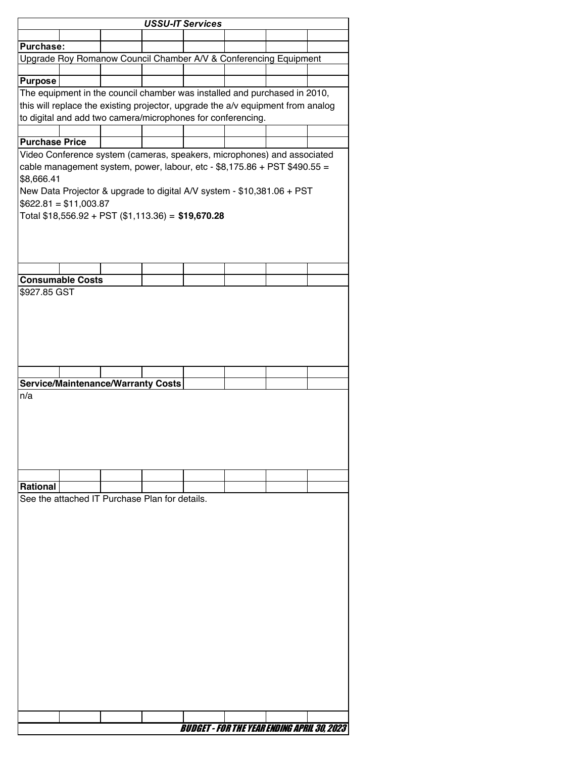|                       | <b>USSU-IT Services</b>                                                         |  |  |                                                    |  |  |  |  |  |
|-----------------------|---------------------------------------------------------------------------------|--|--|----------------------------------------------------|--|--|--|--|--|
|                       |                                                                                 |  |  |                                                    |  |  |  |  |  |
| <b>Purchase:</b>      |                                                                                 |  |  |                                                    |  |  |  |  |  |
|                       | Upgrade Roy Romanow Council Chamber A/V & Conferencing Equipment                |  |  |                                                    |  |  |  |  |  |
| <b>Purpose</b>        |                                                                                 |  |  |                                                    |  |  |  |  |  |
|                       | The equipment in the council chamber was installed and purchased in 2010,       |  |  |                                                    |  |  |  |  |  |
|                       | this will replace the existing projector, upgrade the a/v equipment from analog |  |  |                                                    |  |  |  |  |  |
|                       | to digital and add two camera/microphones for conferencing.                     |  |  |                                                    |  |  |  |  |  |
|                       |                                                                                 |  |  |                                                    |  |  |  |  |  |
| <b>Purchase Price</b> |                                                                                 |  |  |                                                    |  |  |  |  |  |
|                       | Video Conference system (cameras, speakers, microphones) and associated         |  |  |                                                    |  |  |  |  |  |
|                       | cable management system, power, labour, etc - $$8,175.86 + PST $490.55 =$       |  |  |                                                    |  |  |  |  |  |
| \$8,666.41            |                                                                                 |  |  |                                                    |  |  |  |  |  |
|                       | New Data Projector & upgrade to digital A/V system - \$10,381.06 + PST          |  |  |                                                    |  |  |  |  |  |
|                       | $$622.81 = $11,003.87$                                                          |  |  |                                                    |  |  |  |  |  |
|                       | Total \$18,556.92 + PST (\$1,113.36) = \$19,670.28                              |  |  |                                                    |  |  |  |  |  |
|                       |                                                                                 |  |  |                                                    |  |  |  |  |  |
|                       |                                                                                 |  |  |                                                    |  |  |  |  |  |
|                       |                                                                                 |  |  |                                                    |  |  |  |  |  |
|                       |                                                                                 |  |  |                                                    |  |  |  |  |  |
|                       | <b>Consumable Costs</b>                                                         |  |  |                                                    |  |  |  |  |  |
| \$927.85 GST          |                                                                                 |  |  |                                                    |  |  |  |  |  |
|                       |                                                                                 |  |  |                                                    |  |  |  |  |  |
|                       |                                                                                 |  |  |                                                    |  |  |  |  |  |
|                       |                                                                                 |  |  |                                                    |  |  |  |  |  |
|                       |                                                                                 |  |  |                                                    |  |  |  |  |  |
|                       |                                                                                 |  |  |                                                    |  |  |  |  |  |
|                       |                                                                                 |  |  |                                                    |  |  |  |  |  |
|                       |                                                                                 |  |  |                                                    |  |  |  |  |  |
|                       | <b>Service/Maintenance/Warranty Costs</b>                                       |  |  |                                                    |  |  |  |  |  |
| n/a                   |                                                                                 |  |  |                                                    |  |  |  |  |  |
|                       |                                                                                 |  |  |                                                    |  |  |  |  |  |
|                       |                                                                                 |  |  |                                                    |  |  |  |  |  |
|                       |                                                                                 |  |  |                                                    |  |  |  |  |  |
|                       |                                                                                 |  |  |                                                    |  |  |  |  |  |
|                       |                                                                                 |  |  |                                                    |  |  |  |  |  |
|                       |                                                                                 |  |  |                                                    |  |  |  |  |  |
| <b>Rational</b>       |                                                                                 |  |  |                                                    |  |  |  |  |  |
|                       | See the attached IT Purchase Plan for details.                                  |  |  |                                                    |  |  |  |  |  |
|                       |                                                                                 |  |  |                                                    |  |  |  |  |  |
|                       |                                                                                 |  |  |                                                    |  |  |  |  |  |
|                       |                                                                                 |  |  |                                                    |  |  |  |  |  |
|                       |                                                                                 |  |  |                                                    |  |  |  |  |  |
|                       |                                                                                 |  |  |                                                    |  |  |  |  |  |
|                       |                                                                                 |  |  |                                                    |  |  |  |  |  |
|                       |                                                                                 |  |  |                                                    |  |  |  |  |  |
|                       |                                                                                 |  |  |                                                    |  |  |  |  |  |
|                       |                                                                                 |  |  |                                                    |  |  |  |  |  |
|                       |                                                                                 |  |  |                                                    |  |  |  |  |  |
|                       |                                                                                 |  |  |                                                    |  |  |  |  |  |
|                       |                                                                                 |  |  |                                                    |  |  |  |  |  |
|                       |                                                                                 |  |  |                                                    |  |  |  |  |  |
|                       |                                                                                 |  |  |                                                    |  |  |  |  |  |
|                       |                                                                                 |  |  |                                                    |  |  |  |  |  |
|                       |                                                                                 |  |  |                                                    |  |  |  |  |  |
|                       |                                                                                 |  |  |                                                    |  |  |  |  |  |
|                       |                                                                                 |  |  |                                                    |  |  |  |  |  |
|                       |                                                                                 |  |  |                                                    |  |  |  |  |  |
|                       |                                                                                 |  |  | <b>BUDGET - FOR THE YEAR ENDING APRIL 30, 2023</b> |  |  |  |  |  |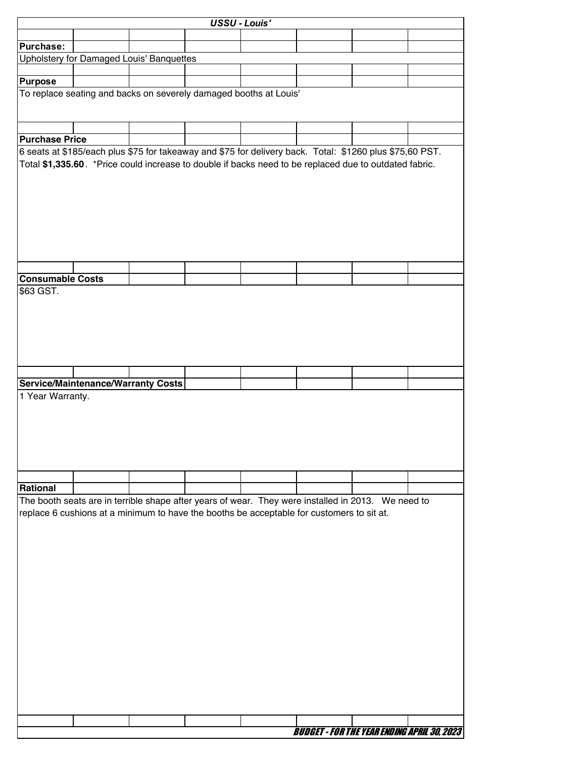|                         |                                                                                                          |  | <b>USSU - Louis'</b> |                                                    |  |
|-------------------------|----------------------------------------------------------------------------------------------------------|--|----------------------|----------------------------------------------------|--|
|                         |                                                                                                          |  |                      |                                                    |  |
| Purchase:               |                                                                                                          |  |                      |                                                    |  |
|                         | Upholstery for Damaged Louis' Banquettes                                                                 |  |                      |                                                    |  |
| <b>Purpose</b>          |                                                                                                          |  |                      |                                                    |  |
|                         | To replace seating and backs on severely damaged booths at Louis'                                        |  |                      |                                                    |  |
|                         |                                                                                                          |  |                      |                                                    |  |
|                         |                                                                                                          |  |                      |                                                    |  |
| <b>Purchase Price</b>   |                                                                                                          |  |                      |                                                    |  |
|                         | 6 seats at \$185/each plus \$75 for takeaway and \$75 for delivery back. Total: \$1260 plus \$75,60 PST. |  |                      |                                                    |  |
|                         | Total \$1,335.60. *Price could increase to double if backs need to be replaced due to outdated fabric.   |  |                      |                                                    |  |
|                         |                                                                                                          |  |                      |                                                    |  |
|                         |                                                                                                          |  |                      |                                                    |  |
|                         |                                                                                                          |  |                      |                                                    |  |
|                         |                                                                                                          |  |                      |                                                    |  |
|                         |                                                                                                          |  |                      |                                                    |  |
|                         |                                                                                                          |  |                      |                                                    |  |
|                         |                                                                                                          |  |                      |                                                    |  |
|                         |                                                                                                          |  |                      |                                                    |  |
| <b>Consumable Costs</b> |                                                                                                          |  |                      |                                                    |  |
| \$63 GST.               |                                                                                                          |  |                      |                                                    |  |
|                         |                                                                                                          |  |                      |                                                    |  |
|                         |                                                                                                          |  |                      |                                                    |  |
|                         |                                                                                                          |  |                      |                                                    |  |
|                         |                                                                                                          |  |                      |                                                    |  |
|                         |                                                                                                          |  |                      |                                                    |  |
|                         | Service/Maintenance/Warranty Costs                                                                       |  |                      |                                                    |  |
| 1 Year Warranty.        |                                                                                                          |  |                      |                                                    |  |
|                         |                                                                                                          |  |                      |                                                    |  |
|                         |                                                                                                          |  |                      |                                                    |  |
|                         |                                                                                                          |  |                      |                                                    |  |
|                         |                                                                                                          |  |                      |                                                    |  |
|                         |                                                                                                          |  |                      |                                                    |  |
|                         |                                                                                                          |  |                      |                                                    |  |
| Rational                |                                                                                                          |  |                      |                                                    |  |
|                         | The booth seats are in terrible shape after years of wear. They were installed in 2013. We need to       |  |                      |                                                    |  |
|                         | replace 6 cushions at a minimum to have the booths be acceptable for customers to sit at.                |  |                      |                                                    |  |
|                         |                                                                                                          |  |                      |                                                    |  |
|                         |                                                                                                          |  |                      |                                                    |  |
|                         |                                                                                                          |  |                      |                                                    |  |
|                         |                                                                                                          |  |                      |                                                    |  |
|                         |                                                                                                          |  |                      |                                                    |  |
|                         |                                                                                                          |  |                      |                                                    |  |
|                         |                                                                                                          |  |                      |                                                    |  |
|                         |                                                                                                          |  |                      |                                                    |  |
|                         |                                                                                                          |  |                      |                                                    |  |
|                         |                                                                                                          |  |                      |                                                    |  |
|                         |                                                                                                          |  |                      |                                                    |  |
|                         |                                                                                                          |  |                      |                                                    |  |
|                         |                                                                                                          |  |                      |                                                    |  |
|                         |                                                                                                          |  |                      |                                                    |  |
|                         |                                                                                                          |  |                      |                                                    |  |
|                         |                                                                                                          |  |                      | <b>BUDGET - FOR THE YEAR ENDING APRIL 30, 2023</b> |  |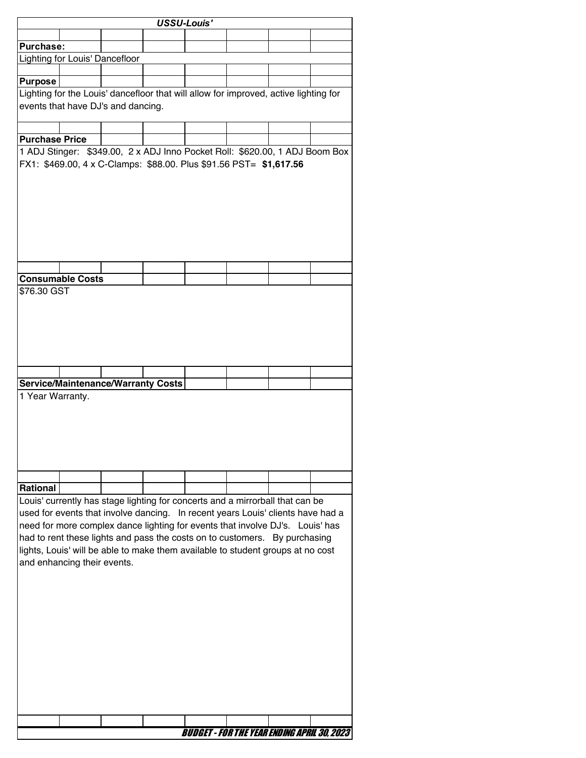| <b>USSU-Louis'</b>    |                                       |                                           |                                                                                                                                                                                                                                                                                                                                                                                                                    |  |  |  |  |  |  |
|-----------------------|---------------------------------------|-------------------------------------------|--------------------------------------------------------------------------------------------------------------------------------------------------------------------------------------------------------------------------------------------------------------------------------------------------------------------------------------------------------------------------------------------------------------------|--|--|--|--|--|--|
|                       |                                       |                                           |                                                                                                                                                                                                                                                                                                                                                                                                                    |  |  |  |  |  |  |
| <b>Purchase:</b>      |                                       |                                           |                                                                                                                                                                                                                                                                                                                                                                                                                    |  |  |  |  |  |  |
|                       | <b>Lighting for Louis' Dancefloor</b> |                                           |                                                                                                                                                                                                                                                                                                                                                                                                                    |  |  |  |  |  |  |
|                       |                                       |                                           |                                                                                                                                                                                                                                                                                                                                                                                                                    |  |  |  |  |  |  |
| <b>Purpose</b>        |                                       |                                           |                                                                                                                                                                                                                                                                                                                                                                                                                    |  |  |  |  |  |  |
|                       |                                       |                                           | Lighting for the Louis' dancefloor that will allow for improved, active lighting for                                                                                                                                                                                                                                                                                                                               |  |  |  |  |  |  |
|                       |                                       | events that have DJ's and dancing.        |                                                                                                                                                                                                                                                                                                                                                                                                                    |  |  |  |  |  |  |
|                       |                                       |                                           |                                                                                                                                                                                                                                                                                                                                                                                                                    |  |  |  |  |  |  |
| <b>Purchase Price</b> |                                       |                                           |                                                                                                                                                                                                                                                                                                                                                                                                                    |  |  |  |  |  |  |
|                       |                                       |                                           | 1 ADJ Stinger: \$349.00, 2 x ADJ Inno Pocket Roll: \$620.00, 1 ADJ Boom Box                                                                                                                                                                                                                                                                                                                                        |  |  |  |  |  |  |
|                       |                                       |                                           | FX1: \$469.00, 4 x C-Clamps: \$88.00. Plus \$91.56 PST= \$1,617.56                                                                                                                                                                                                                                                                                                                                                 |  |  |  |  |  |  |
|                       |                                       |                                           |                                                                                                                                                                                                                                                                                                                                                                                                                    |  |  |  |  |  |  |
|                       | <b>Consumable Costs</b>               |                                           |                                                                                                                                                                                                                                                                                                                                                                                                                    |  |  |  |  |  |  |
| \$76.30 GST           |                                       |                                           |                                                                                                                                                                                                                                                                                                                                                                                                                    |  |  |  |  |  |  |
|                       |                                       |                                           |                                                                                                                                                                                                                                                                                                                                                                                                                    |  |  |  |  |  |  |
|                       |                                       |                                           |                                                                                                                                                                                                                                                                                                                                                                                                                    |  |  |  |  |  |  |
| 1 Year Warranty.      |                                       | <b>Service/Maintenance/Warranty Costs</b> |                                                                                                                                                                                                                                                                                                                                                                                                                    |  |  |  |  |  |  |
|                       |                                       |                                           |                                                                                                                                                                                                                                                                                                                                                                                                                    |  |  |  |  |  |  |
|                       |                                       |                                           |                                                                                                                                                                                                                                                                                                                                                                                                                    |  |  |  |  |  |  |
| <b>Rational</b>       |                                       |                                           |                                                                                                                                                                                                                                                                                                                                                                                                                    |  |  |  |  |  |  |
|                       | and enhancing their events.           |                                           | Louis' currently has stage lighting for concerts and a mirrorball that can be<br>used for events that involve dancing. In recent years Louis' clients have had a<br>need for more complex dance lighting for events that involve DJ's. Louis' has<br>had to rent these lights and pass the costs on to customers. By purchasing<br>lights, Louis' will be able to make them available to student groups at no cost |  |  |  |  |  |  |
|                       |                                       |                                           |                                                                                                                                                                                                                                                                                                                                                                                                                    |  |  |  |  |  |  |
|                       |                                       |                                           |                                                                                                                                                                                                                                                                                                                                                                                                                    |  |  |  |  |  |  |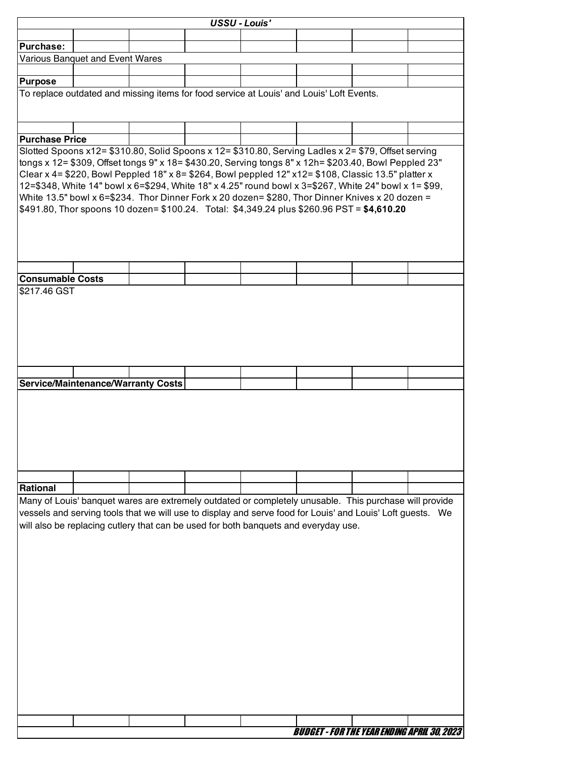|                                                                                                                                                                                                                                                                                                                                                                                                                                                                                                                                                                                                                               |                                                                                                                                                                                                                                                                                                              |  |  | <b>USSU - Louis'</b> |  |                                                    |  |  |  |  |
|-------------------------------------------------------------------------------------------------------------------------------------------------------------------------------------------------------------------------------------------------------------------------------------------------------------------------------------------------------------------------------------------------------------------------------------------------------------------------------------------------------------------------------------------------------------------------------------------------------------------------------|--------------------------------------------------------------------------------------------------------------------------------------------------------------------------------------------------------------------------------------------------------------------------------------------------------------|--|--|----------------------|--|----------------------------------------------------|--|--|--|--|
|                                                                                                                                                                                                                                                                                                                                                                                                                                                                                                                                                                                                                               |                                                                                                                                                                                                                                                                                                              |  |  |                      |  |                                                    |  |  |  |  |
| <b>Purchase:</b>                                                                                                                                                                                                                                                                                                                                                                                                                                                                                                                                                                                                              |                                                                                                                                                                                                                                                                                                              |  |  |                      |  |                                                    |  |  |  |  |
|                                                                                                                                                                                                                                                                                                                                                                                                                                                                                                                                                                                                                               | Various Banquet and Event Wares                                                                                                                                                                                                                                                                              |  |  |                      |  |                                                    |  |  |  |  |
|                                                                                                                                                                                                                                                                                                                                                                                                                                                                                                                                                                                                                               |                                                                                                                                                                                                                                                                                                              |  |  |                      |  |                                                    |  |  |  |  |
| <b>Purpose</b>                                                                                                                                                                                                                                                                                                                                                                                                                                                                                                                                                                                                                |                                                                                                                                                                                                                                                                                                              |  |  |                      |  |                                                    |  |  |  |  |
| To replace outdated and missing items for food service at Louis' and Louis' Loft Events.                                                                                                                                                                                                                                                                                                                                                                                                                                                                                                                                      |                                                                                                                                                                                                                                                                                                              |  |  |                      |  |                                                    |  |  |  |  |
| <b>Purchase Price</b>                                                                                                                                                                                                                                                                                                                                                                                                                                                                                                                                                                                                         |                                                                                                                                                                                                                                                                                                              |  |  |                      |  |                                                    |  |  |  |  |
|                                                                                                                                                                                                                                                                                                                                                                                                                                                                                                                                                                                                                               |                                                                                                                                                                                                                                                                                                              |  |  |                      |  |                                                    |  |  |  |  |
| Slotted Spoons x12= \$310.80, Solid Spoons x 12= \$310.80, Serving Ladles x 2= \$79, Offset serving<br>tongs x 12= \$309, Offset tongs 9" x 18= \$430.20, Serving tongs 8" x 12h= \$203.40, Bowl Peppled 23"<br>Clear x 4= \$220, Bowl Peppled 18" x 8= \$264, Bowl peppled 12" x12= \$108, Classic 13.5" platter x<br>12=\$348, White 14" bowl x 6=\$294, White 18" x 4.25" round bowl x 3=\$267, White 24" bowl x 1= \$99,<br>White 13.5" bowl x 6=\$234. Thor Dinner Fork x 20 dozen= \$280, Thor Dinner Knives x 20 dozen =<br>\$491.80, Thor spoons 10 dozen= \$100.24. Total: \$4,349.24 plus \$260.96 PST = \$4,610.20 |                                                                                                                                                                                                                                                                                                              |  |  |                      |  |                                                    |  |  |  |  |
|                                                                                                                                                                                                                                                                                                                                                                                                                                                                                                                                                                                                                               |                                                                                                                                                                                                                                                                                                              |  |  |                      |  |                                                    |  |  |  |  |
| <b>Consumable Costs</b>                                                                                                                                                                                                                                                                                                                                                                                                                                                                                                                                                                                                       |                                                                                                                                                                                                                                                                                                              |  |  |                      |  |                                                    |  |  |  |  |
|                                                                                                                                                                                                                                                                                                                                                                                                                                                                                                                                                                                                                               |                                                                                                                                                                                                                                                                                                              |  |  |                      |  |                                                    |  |  |  |  |
|                                                                                                                                                                                                                                                                                                                                                                                                                                                                                                                                                                                                                               | <b>Service/Maintenance/Warranty Costs</b>                                                                                                                                                                                                                                                                    |  |  |                      |  |                                                    |  |  |  |  |
|                                                                                                                                                                                                                                                                                                                                                                                                                                                                                                                                                                                                                               |                                                                                                                                                                                                                                                                                                              |  |  |                      |  |                                                    |  |  |  |  |
|                                                                                                                                                                                                                                                                                                                                                                                                                                                                                                                                                                                                                               |                                                                                                                                                                                                                                                                                                              |  |  |                      |  |                                                    |  |  |  |  |
| <b>Rational</b>                                                                                                                                                                                                                                                                                                                                                                                                                                                                                                                                                                                                               |                                                                                                                                                                                                                                                                                                              |  |  |                      |  |                                                    |  |  |  |  |
|                                                                                                                                                                                                                                                                                                                                                                                                                                                                                                                                                                                                                               | Many of Louis' banquet wares are extremely outdated or completely unusable. This purchase will provide<br>vessels and serving tools that we will use to display and serve food for Louis' and Louis' Loft guests.  We<br>will also be replacing cutlery that can be used for both banquets and everyday use. |  |  |                      |  |                                                    |  |  |  |  |
|                                                                                                                                                                                                                                                                                                                                                                                                                                                                                                                                                                                                                               |                                                                                                                                                                                                                                                                                                              |  |  |                      |  |                                                    |  |  |  |  |
|                                                                                                                                                                                                                                                                                                                                                                                                                                                                                                                                                                                                                               |                                                                                                                                                                                                                                                                                                              |  |  |                      |  | <b>BUDGET - FOR THE YEAR ENDING APRIL 30, 2023</b> |  |  |  |  |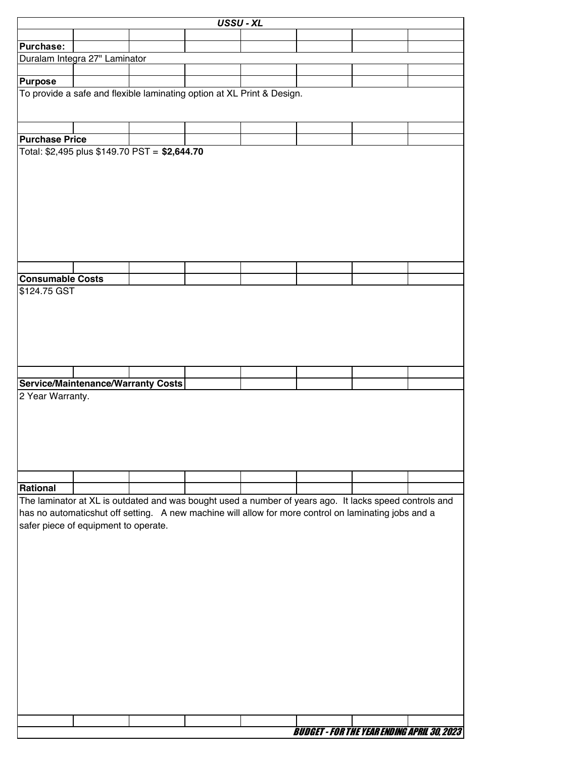|                                         |                                                                                                                                                                                                                | USSU - XL |  |                                                    |  |
|-----------------------------------------|----------------------------------------------------------------------------------------------------------------------------------------------------------------------------------------------------------------|-----------|--|----------------------------------------------------|--|
|                                         |                                                                                                                                                                                                                |           |  |                                                    |  |
| <b>Purchase:</b>                        |                                                                                                                                                                                                                |           |  |                                                    |  |
|                                         | Duralam Integra 27" Laminator                                                                                                                                                                                  |           |  |                                                    |  |
| <b>Purpose</b>                          |                                                                                                                                                                                                                |           |  |                                                    |  |
|                                         | To provide a safe and flexible laminating option at XL Print & Design.                                                                                                                                         |           |  |                                                    |  |
|                                         |                                                                                                                                                                                                                |           |  |                                                    |  |
|                                         |                                                                                                                                                                                                                |           |  |                                                    |  |
| <b>Purchase Price</b>                   |                                                                                                                                                                                                                |           |  |                                                    |  |
|                                         | Total: \$2,495 plus \$149.70 PST = \$2,644.70                                                                                                                                                                  |           |  |                                                    |  |
|                                         |                                                                                                                                                                                                                |           |  |                                                    |  |
|                                         |                                                                                                                                                                                                                |           |  |                                                    |  |
|                                         |                                                                                                                                                                                                                |           |  |                                                    |  |
|                                         |                                                                                                                                                                                                                |           |  |                                                    |  |
|                                         |                                                                                                                                                                                                                |           |  |                                                    |  |
|                                         |                                                                                                                                                                                                                |           |  |                                                    |  |
|                                         |                                                                                                                                                                                                                |           |  |                                                    |  |
|                                         |                                                                                                                                                                                                                |           |  |                                                    |  |
|                                         |                                                                                                                                                                                                                |           |  |                                                    |  |
| <b>Consumable Costs</b><br>\$124.75 GST |                                                                                                                                                                                                                |           |  |                                                    |  |
|                                         |                                                                                                                                                                                                                |           |  |                                                    |  |
|                                         |                                                                                                                                                                                                                |           |  |                                                    |  |
|                                         |                                                                                                                                                                                                                |           |  |                                                    |  |
|                                         |                                                                                                                                                                                                                |           |  |                                                    |  |
|                                         |                                                                                                                                                                                                                |           |  |                                                    |  |
|                                         |                                                                                                                                                                                                                |           |  |                                                    |  |
|                                         | Service/Maintenance/Warranty Costs                                                                                                                                                                             |           |  |                                                    |  |
| 2 Year Warranty.                        |                                                                                                                                                                                                                |           |  |                                                    |  |
|                                         |                                                                                                                                                                                                                |           |  |                                                    |  |
|                                         |                                                                                                                                                                                                                |           |  |                                                    |  |
|                                         |                                                                                                                                                                                                                |           |  |                                                    |  |
|                                         |                                                                                                                                                                                                                |           |  |                                                    |  |
|                                         |                                                                                                                                                                                                                |           |  |                                                    |  |
|                                         |                                                                                                                                                                                                                |           |  |                                                    |  |
| Rational                                |                                                                                                                                                                                                                |           |  |                                                    |  |
|                                         | The laminator at XL is outdated and was bought used a number of years ago. It lacks speed controls and<br>has no automaticshut off setting. A new machine will allow for more control on laminating jobs and a |           |  |                                                    |  |
|                                         | safer piece of equipment to operate.                                                                                                                                                                           |           |  |                                                    |  |
|                                         |                                                                                                                                                                                                                |           |  |                                                    |  |
|                                         |                                                                                                                                                                                                                |           |  |                                                    |  |
|                                         |                                                                                                                                                                                                                |           |  |                                                    |  |
|                                         |                                                                                                                                                                                                                |           |  |                                                    |  |
|                                         |                                                                                                                                                                                                                |           |  |                                                    |  |
|                                         |                                                                                                                                                                                                                |           |  |                                                    |  |
|                                         |                                                                                                                                                                                                                |           |  |                                                    |  |
|                                         |                                                                                                                                                                                                                |           |  |                                                    |  |
|                                         |                                                                                                                                                                                                                |           |  |                                                    |  |
|                                         |                                                                                                                                                                                                                |           |  |                                                    |  |
|                                         |                                                                                                                                                                                                                |           |  |                                                    |  |
|                                         |                                                                                                                                                                                                                |           |  |                                                    |  |
|                                         |                                                                                                                                                                                                                |           |  |                                                    |  |
|                                         |                                                                                                                                                                                                                |           |  |                                                    |  |
|                                         |                                                                                                                                                                                                                |           |  | <b>BUDGET - FOR THE YEAR ENDING APRIL 30, 2023</b> |  |